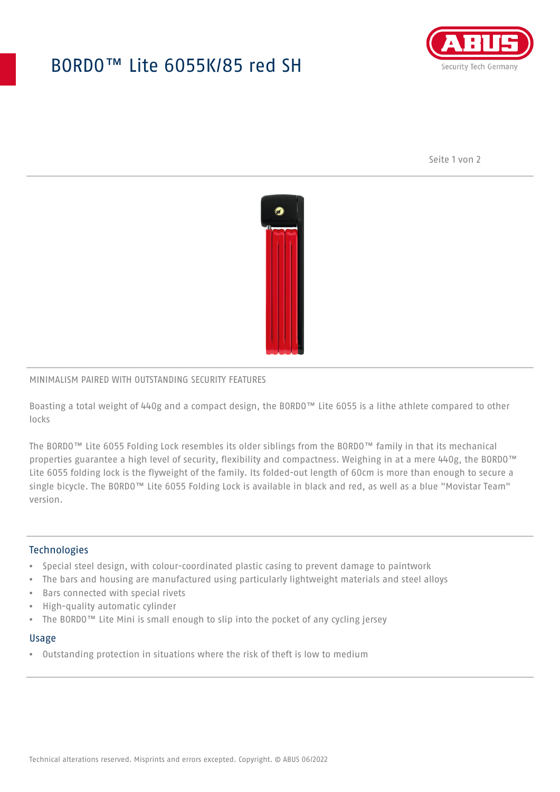# BORDO™ Lite 6055K/85 red SH



Seite 1 von 2



### MINIMALISM PAIRED WITH OUTSTANDING SECURITY FEATURES

Boasting a total weight of 440g and a compact design, the BORDO™ Lite 6055 is a lithe athlete compared to other locks

The BORDO™ Lite 6055 Folding Lock resembles its older siblings from the BORDO™ family in that its mechanical properties guarantee a high level of security, flexibility and compactness. Weighing in at a mere 440g, the BORDO™ Lite 6055 folding lock is the flyweight of the family. Its folded-out length of 60cm is more than enough to secure a single bicycle. The BORDO™ Lite 6055 Folding Lock is available in black and red, as well as a blue "Movistar Team" version.

### **Technologies**

- Special steel design, with colour-coordinated plastic casing to prevent damage to paintwork
- The bars and housing are manufactured using particularly lightweight materials and steel alloys
- Bars connected with special rivets
- High-quality automatic cylinder
- The BORDO™ Lite Mini is small enough to slip into the pocket of any cycling jersey

#### Usage

• Outstanding protection in situations where the risk of theft is low to medium